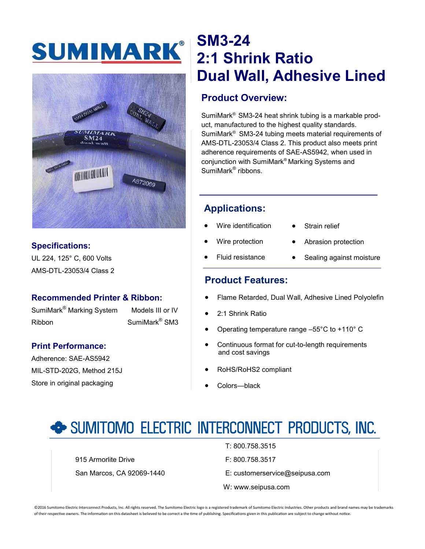# SUMIMARK®



## **Specifications:**

UL 224, 125° C, 600 Volts AMS-DTL-23053/4 Class 2

### **Recommended Printer & Ribbon:**

SumiMark<sup>®</sup> Marking System Models III or IV Ribbon SumiMark<sup>®</sup> SM3

### **Print Performance:**

Adherence: SAE-AS5942 MIL-STD-202G, Method 215J Store in original packaging

## **SM3-24 2:1 Shrink Ratio Dual Wall, Adhesive Lined**

## **Product Overview:**

SumiMark® SM3-24 heat shrink tubing is a markable product, manufactured to the highest quality standards. SumiMark® SM3-24 tubing meets material requirements of AMS-DTL-23053/4 Class 2. This product also meets print adherence requirements of SAE-AS5942, when used in conjunction with SumiMark® Marking Systems and SumiMark<sup>®</sup> ribbons.

## **Applications:**

- Wire identification
- Strain relief
- Wire protection
- Abrasion protection
- Fluid resistance
- Sealing against moisture

## **Product Features:**

- Flame Retarded, Dual Wall, Adhesive Lined Polyolefin
- 2:1 Shrink Ratio
- Operating temperature range –55°C to +110° C
- Continuous format for cut-to-length requirements and cost savings
- RoHS/RoHS2 compliant
- Colors—black

## SUMITOMO ELECTRIC INTERCONNECT PRODUCTS, INC.

915 Armorlite Drive **F: 800.758.3517** 

- T: 800.758.3515
- 
- San Marcos, CA 92069-1440 E: customerservice@seipusa.com
	- W: www.seipusa.com

©2016 Sumitomo Electric Interconnect Products, Inc. All rights reserved. The Sumitomo Electric logo is a registered trademark of Sumitomo Electric Industries. Other products and brand names may be trademarks of their respective owners. The information on this datasheet is believed to be correct a the time of publishing. Specifications given in this publication are subject to change without notice.